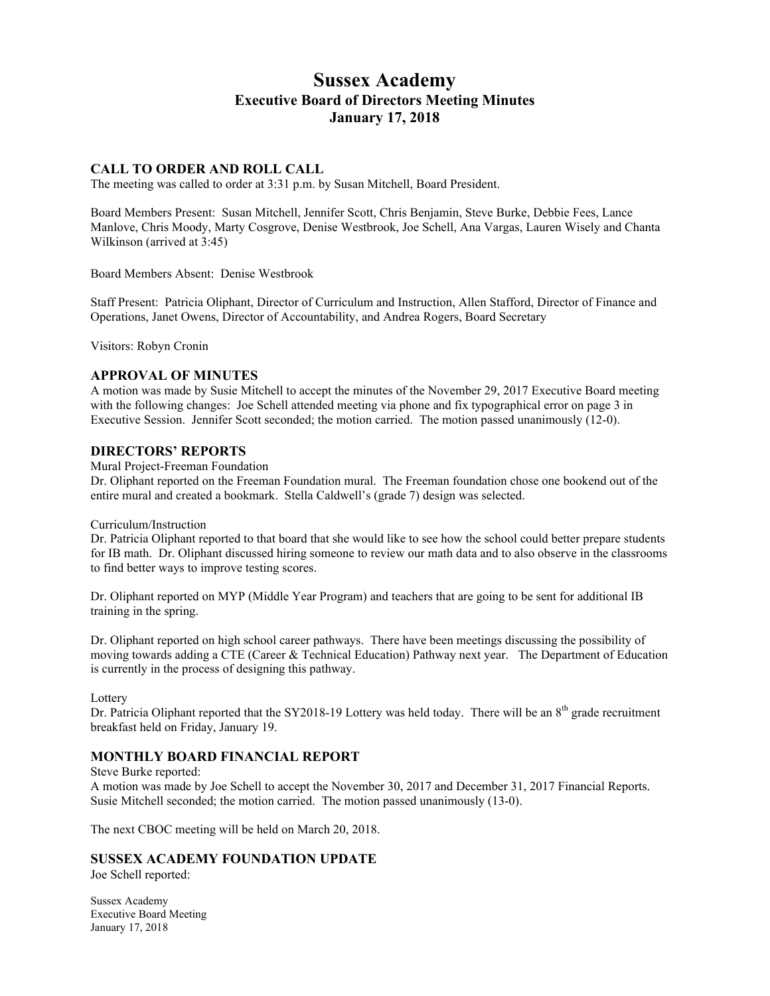# **Sussex Academy Executive Board of Directors Meeting Minutes January 17, 2018**

### **CALL TO ORDER AND ROLL CALL**

The meeting was called to order at 3:31 p.m. by Susan Mitchell, Board President.

Board Members Present: Susan Mitchell, Jennifer Scott, Chris Benjamin, Steve Burke, Debbie Fees, Lance Manlove, Chris Moody, Marty Cosgrove, Denise Westbrook, Joe Schell, Ana Vargas, Lauren Wisely and Chanta Wilkinson (arrived at 3:45)

Board Members Absent: Denise Westbrook

Staff Present: Patricia Oliphant, Director of Curriculum and Instruction, Allen Stafford, Director of Finance and Operations, Janet Owens, Director of Accountability, and Andrea Rogers, Board Secretary

Visitors: Robyn Cronin

#### **APPROVAL OF MINUTES**

A motion was made by Susie Mitchell to accept the minutes of the November 29, 2017 Executive Board meeting with the following changes: Joe Schell attended meeting via phone and fix typographical error on page 3 in Executive Session. Jennifer Scott seconded; the motion carried. The motion passed unanimously (12-0).

#### **DIRECTORS' REPORTS**

Mural Project-Freeman Foundation

Dr. Oliphant reported on the Freeman Foundation mural. The Freeman foundation chose one bookend out of the entire mural and created a bookmark. Stella Caldwell's (grade 7) design was selected.

#### Curriculum/Instruction

Dr. Patricia Oliphant reported to that board that she would like to see how the school could better prepare students for IB math. Dr. Oliphant discussed hiring someone to review our math data and to also observe in the classrooms to find better ways to improve testing scores.

Dr. Oliphant reported on MYP (Middle Year Program) and teachers that are going to be sent for additional IB training in the spring.

Dr. Oliphant reported on high school career pathways. There have been meetings discussing the possibility of moving towards adding a CTE (Career & Technical Education) Pathway next year. The Department of Education is currently in the process of designing this pathway.

Lottery

Dr. Patricia Oliphant reported that the SY2018-19 Lottery was held today. There will be an 8<sup>th</sup> grade recruitment breakfast held on Friday, January 19.

## **MONTHLY BOARD FINANCIAL REPORT**

Steve Burke reported:

A motion was made by Joe Schell to accept the November 30, 2017 and December 31, 2017 Financial Reports. Susie Mitchell seconded; the motion carried. The motion passed unanimously (13-0).

The next CBOC meeting will be held on March 20, 2018.

#### **SUSSEX ACADEMY FOUNDATION UPDATE**

Joe Schell reported:

Sussex Academy Executive Board Meeting January 17, 2018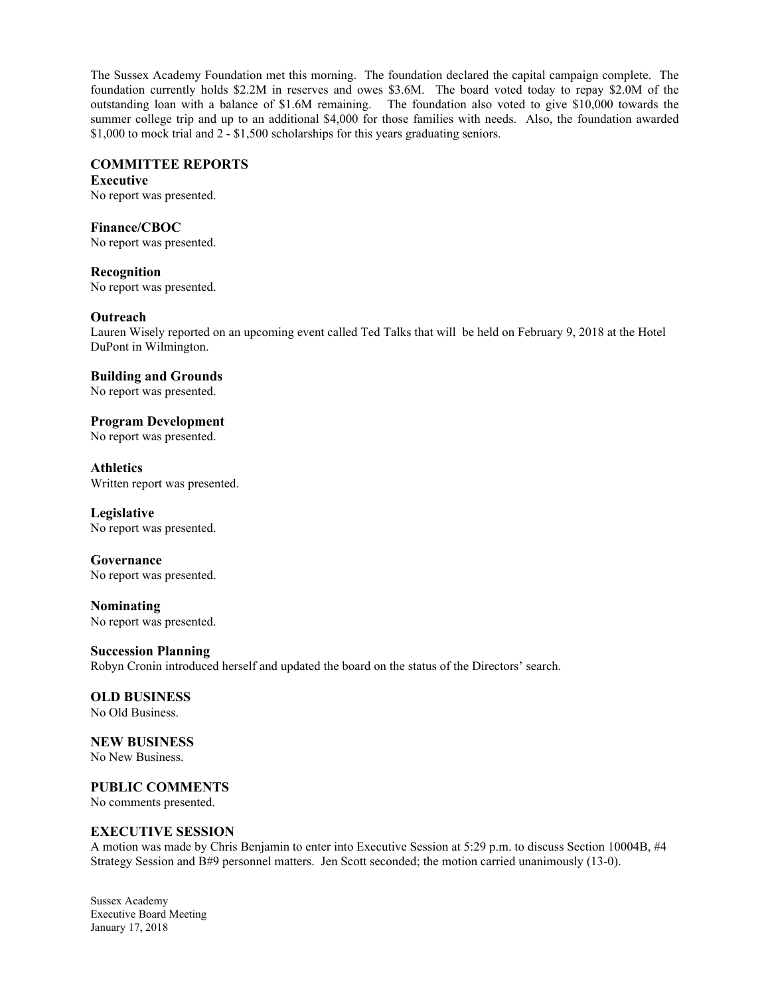The Sussex Academy Foundation met this morning. The foundation declared the capital campaign complete. The foundation currently holds \$2.2M in reserves and owes \$3.6M. The board voted today to repay \$2.0M of the outstanding loan with a balance of \$1.6M remaining. The foundation also voted to give \$10,000 towards the summer college trip and up to an additional \$4,000 for those families with needs. Also, the foundation awarded \$1,000 to mock trial and 2 - \$1,500 scholarships for this years graduating seniors.

### **COMMITTEE REPORTS**

**Executive** No report was presented.

**Finance/CBOC**  No report was presented.

**Recognition** No report was presented.

#### **Outreach**

Lauren Wisely reported on an upcoming event called Ted Talks that will be held on February 9, 2018 at the Hotel DuPont in Wilmington.

**Building and Grounds** No report was presented.

**Program Development** No report was presented.

**Athletics** Written report was presented.

**Legislative** No report was presented.

**Governance** No report was presented.

**Nominating** No report was presented.

**Succession Planning** Robyn Cronin introduced herself and updated the board on the status of the Directors' search.

**OLD BUSINESS**

No Old Business.

**NEW BUSINESS** No New Business.

**PUBLIC COMMENTS**

No comments presented.

#### **EXECUTIVE SESSION**

A motion was made by Chris Benjamin to enter into Executive Session at 5:29 p.m. to discuss Section 10004B, #4 Strategy Session and B#9 personnel matters. Jen Scott seconded; the motion carried unanimously (13-0).

Sussex Academy Executive Board Meeting January 17, 2018